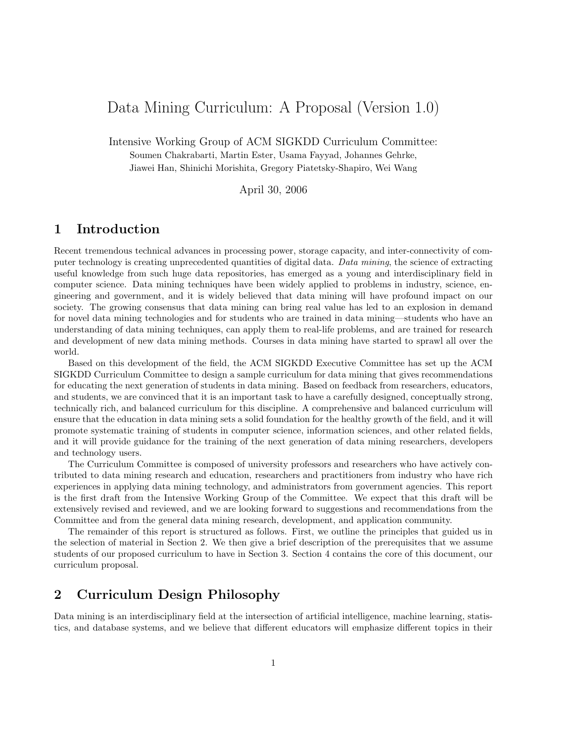# Data Mining Curriculum: A Proposal (Version 1.0)

Intensive Working Group of ACM SIGKDD Curriculum Committee: Soumen Chakrabarti, Martin Ester, Usama Fayyad, Johannes Gehrke, Jiawei Han, Shinichi Morishita, Gregory Piatetsky-Shapiro, Wei Wang

April 30, 2006

# 1 Introduction

Recent tremendous technical advances in processing power, storage capacity, and inter-connectivity of computer technology is creating unprecedented quantities of digital data. Data mining, the science of extracting useful knowledge from such huge data repositories, has emerged as a young and interdisciplinary field in computer science. Data mining techniques have been widely applied to problems in industry, science, engineering and government, and it is widely believed that data mining will have profound impact on our society. The growing consensus that data mining can bring real value has led to an explosion in demand for novel data mining technologies and for students who are trained in data mining—students who have an understanding of data mining techniques, can apply them to real-life problems, and are trained for research and development of new data mining methods. Courses in data mining have started to sprawl all over the world.

Based on this development of the field, the ACM SIGKDD Executive Committee has set up the ACM SIGKDD Curriculum Committee to design a sample curriculum for data mining that gives recommendations for educating the next generation of students in data mining. Based on feedback from researchers, educators, and students, we are convinced that it is an important task to have a carefully designed, conceptually strong, technically rich, and balanced curriculum for this discipline. A comprehensive and balanced curriculum will ensure that the education in data mining sets a solid foundation for the healthy growth of the field, and it will promote systematic training of students in computer science, information sciences, and other related fields, and it will provide guidance for the training of the next generation of data mining researchers, developers and technology users.

The Curriculum Committee is composed of university professors and researchers who have actively contributed to data mining research and education, researchers and practitioners from industry who have rich experiences in applying data mining technology, and administrators from government agencies. This report is the first draft from the Intensive Working Group of the Committee. We expect that this draft will be extensively revised and reviewed, and we are looking forward to suggestions and recommendations from the Committee and from the general data mining research, development, and application community.

The remainder of this report is structured as follows. First, we outline the principles that guided us in the selection of material in Section 2. We then give a brief description of the prerequisites that we assume students of our proposed curriculum to have in Section 3. Section 4 contains the core of this document, our curriculum proposal.

# 2 Curriculum Design Philosophy

Data mining is an interdisciplinary field at the intersection of artificial intelligence, machine learning, statistics, and database systems, and we believe that different educators will emphasize different topics in their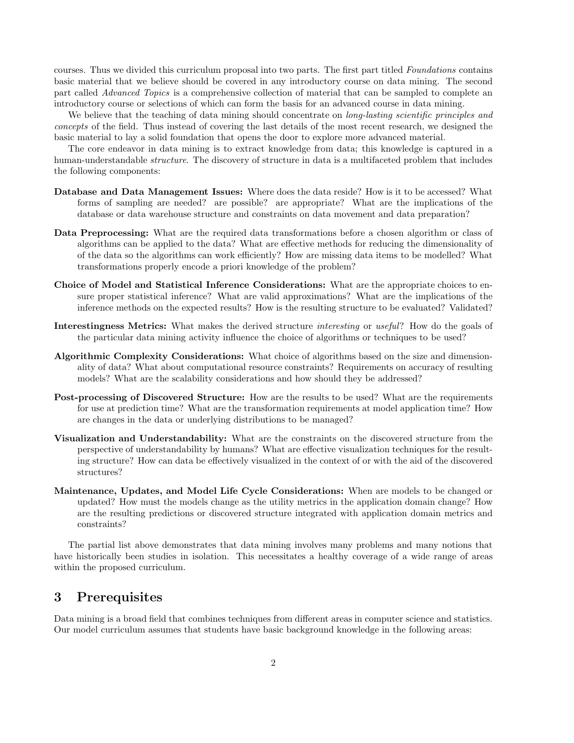courses. Thus we divided this curriculum proposal into two parts. The first part titled Foundations contains basic material that we believe should be covered in any introductory course on data mining. The second part called Advanced Topics is a comprehensive collection of material that can be sampled to complete an introductory course or selections of which can form the basis for an advanced course in data mining.

We believe that the teaching of data mining should concentrate on *long-lasting scientific principles and* concepts of the field. Thus instead of covering the last details of the most recent research, we designed the basic material to lay a solid foundation that opens the door to explore more advanced material.

The core endeavor in data mining is to extract knowledge from data; this knowledge is captured in a human-understandable *structure*. The discovery of structure in data is a multifaceted problem that includes the following components:

- Database and Data Management Issues: Where does the data reside? How is it to be accessed? What forms of sampling are needed? are possible? are appropriate? What are the implications of the database or data warehouse structure and constraints on data movement and data preparation?
- Data Preprocessing: What are the required data transformations before a chosen algorithm or class of algorithms can be applied to the data? What are effective methods for reducing the dimensionality of of the data so the algorithms can work efficiently? How are missing data items to be modelled? What transformations properly encode a priori knowledge of the problem?
- Choice of Model and Statistical Inference Considerations: What are the appropriate choices to ensure proper statistical inference? What are valid approximations? What are the implications of the inference methods on the expected results? How is the resulting structure to be evaluated? Validated?
- Interestingness Metrics: What makes the derived structure interesting or useful? How do the goals of the particular data mining activity influence the choice of algorithms or techniques to be used?
- Algorithmic Complexity Considerations: What choice of algorithms based on the size and dimensionality of data? What about computational resource constraints? Requirements on accuracy of resulting models? What are the scalability considerations and how should they be addressed?
- Post-processing of Discovered Structure: How are the results to be used? What are the requirements for use at prediction time? What are the transformation requirements at model application time? How are changes in the data or underlying distributions to be managed?
- Visualization and Understandability: What are the constraints on the discovered structure from the perspective of understandability by humans? What are effective visualization techniques for the resulting structure? How can data be effectively visualized in the context of or with the aid of the discovered structures?
- Maintenance, Updates, and Model Life Cycle Considerations: When are models to be changed or updated? How must the models change as the utility metrics in the application domain change? How are the resulting predictions or discovered structure integrated with application domain metrics and constraints?

The partial list above demonstrates that data mining involves many problems and many notions that have historically been studies in isolation. This necessitates a healthy coverage of a wide range of areas within the proposed curriculum.

# 3 Prerequisites

Data mining is a broad field that combines techniques from different areas in computer science and statistics. Our model curriculum assumes that students have basic background knowledge in the following areas: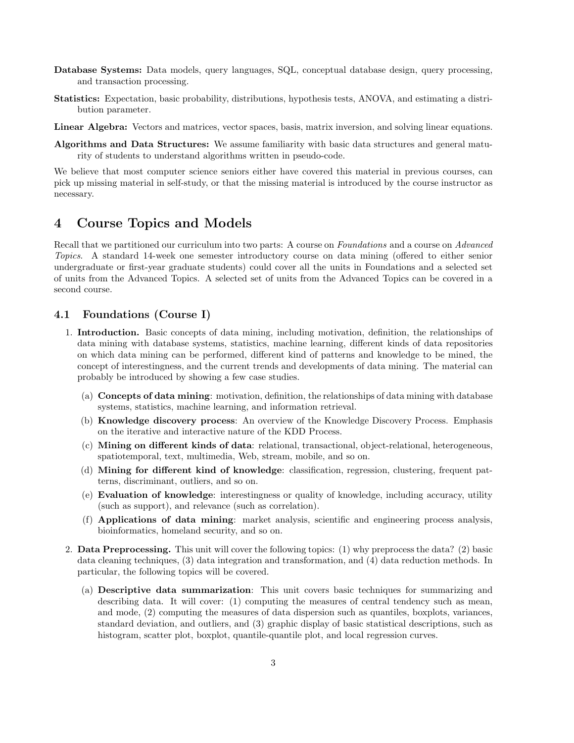- Database Systems: Data models, query languages, SQL, conceptual database design, query processing, and transaction processing.
- Statistics: Expectation, basic probability, distributions, hypothesis tests, ANOVA, and estimating a distribution parameter.

Linear Algebra: Vectors and matrices, vector spaces, basis, matrix inversion, and solving linear equations.

Algorithms and Data Structures: We assume familiarity with basic data structures and general maturity of students to understand algorithms written in pseudo-code.

We believe that most computer science seniors either have covered this material in previous courses, can pick up missing material in self-study, or that the missing material is introduced by the course instructor as necessary.

### 4 Course Topics and Models

Recall that we partitioned our curriculum into two parts: A course on Foundations and a course on Advanced Topics. A standard 14-week one semester introductory course on data mining (offered to either senior undergraduate or first-year graduate students) could cover all the units in Foundations and a selected set of units from the Advanced Topics. A selected set of units from the Advanced Topics can be covered in a second course.

### 4.1 Foundations (Course I)

- 1. Introduction. Basic concepts of data mining, including motivation, definition, the relationships of data mining with database systems, statistics, machine learning, different kinds of data repositories on which data mining can be performed, different kind of patterns and knowledge to be mined, the concept of interestingness, and the current trends and developments of data mining. The material can probably be introduced by showing a few case studies.
	- (a) Concepts of data mining: motivation, definition, the relationships of data mining with database systems, statistics, machine learning, and information retrieval.
	- (b) Knowledge discovery process: An overview of the Knowledge Discovery Process. Emphasis on the iterative and interactive nature of the KDD Process.
	- (c) Mining on different kinds of data: relational, transactional, object-relational, heterogeneous, spatiotemporal, text, multimedia, Web, stream, mobile, and so on.
	- (d) Mining for different kind of knowledge: classification, regression, clustering, frequent patterns, discriminant, outliers, and so on.
	- (e) Evaluation of knowledge: interestingness or quality of knowledge, including accuracy, utility (such as support), and relevance (such as correlation).
	- (f) Applications of data mining: market analysis, scientific and engineering process analysis, bioinformatics, homeland security, and so on.
- 2. Data Preprocessing. This unit will cover the following topics: (1) why preprocess the data? (2) basic data cleaning techniques, (3) data integration and transformation, and (4) data reduction methods. In particular, the following topics will be covered.
	- (a) Descriptive data summarization: This unit covers basic techniques for summarizing and describing data. It will cover: (1) computing the measures of central tendency such as mean, and mode, (2) computing the measures of data dispersion such as quantiles, boxplots, variances, standard deviation, and outliers, and (3) graphic display of basic statistical descriptions, such as histogram, scatter plot, boxplot, quantile-quantile plot, and local regression curves.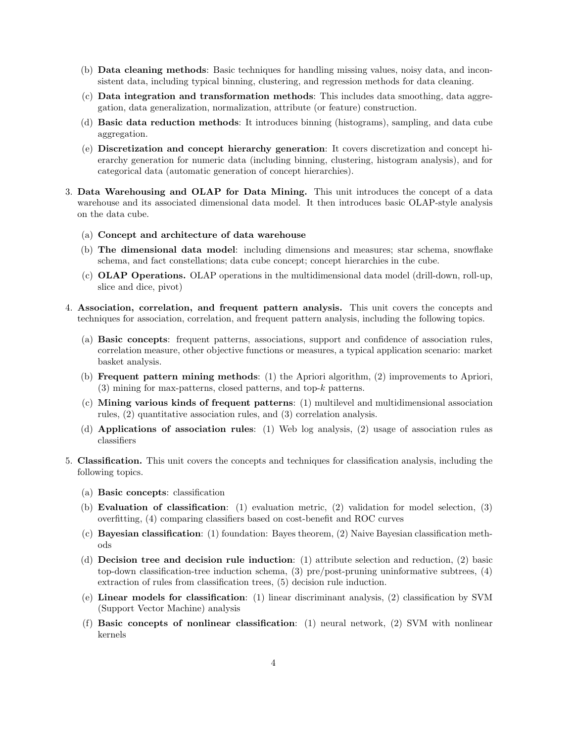- (b) Data cleaning methods: Basic techniques for handling missing values, noisy data, and inconsistent data, including typical binning, clustering, and regression methods for data cleaning.
- (c) Data integration and transformation methods: This includes data smoothing, data aggregation, data generalization, normalization, attribute (or feature) construction.
- (d) Basic data reduction methods: It introduces binning (histograms), sampling, and data cube aggregation.
- (e) Discretization and concept hierarchy generation: It covers discretization and concept hierarchy generation for numeric data (including binning, clustering, histogram analysis), and for categorical data (automatic generation of concept hierarchies).
- 3. Data Warehousing and OLAP for Data Mining. This unit introduces the concept of a data warehouse and its associated dimensional data model. It then introduces basic OLAP-style analysis on the data cube.
	- (a) Concept and architecture of data warehouse
	- (b) The dimensional data model: including dimensions and measures; star schema, snowflake schema, and fact constellations; data cube concept; concept hierarchies in the cube.
	- (c) OLAP Operations. OLAP operations in the multidimensional data model (drill-down, roll-up, slice and dice, pivot)
- 4. Association, correlation, and frequent pattern analysis. This unit covers the concepts and techniques for association, correlation, and frequent pattern analysis, including the following topics.
	- (a) Basic concepts: frequent patterns, associations, support and confidence of association rules, correlation measure, other objective functions or measures, a typical application scenario: market basket analysis.
	- (b) Frequent pattern mining methods: (1) the Apriori algorithm, (2) improvements to Apriori,  $(3)$  mining for max-patterns, closed patterns, and top-k patterns.
	- (c) Mining various kinds of frequent patterns: (1) multilevel and multidimensional association rules, (2) quantitative association rules, and (3) correlation analysis.
	- (d) Applications of association rules: (1) Web log analysis, (2) usage of association rules as classifiers
- 5. Classification. This unit covers the concepts and techniques for classification analysis, including the following topics.
	- (a) Basic concepts: classification
	- (b) Evaluation of classification: (1) evaluation metric, (2) validation for model selection, (3) overfitting, (4) comparing classifiers based on cost-benefit and ROC curves
	- (c) Bayesian classification: (1) foundation: Bayes theorem, (2) Naive Bayesian classification methods
	- (d) Decision tree and decision rule induction: (1) attribute selection and reduction, (2) basic top-down classification-tree induction schema, (3) pre/post-pruning uninformative subtrees, (4) extraction of rules from classification trees, (5) decision rule induction.
	- (e) Linear models for classification: (1) linear discriminant analysis, (2) classification by SVM (Support Vector Machine) analysis
	- (f) Basic concepts of nonlinear classification: (1) neural network, (2) SVM with nonlinear kernels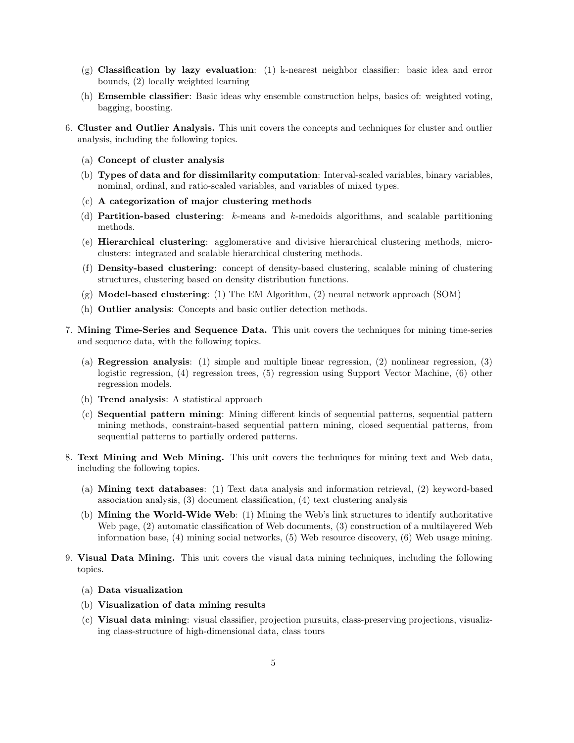- (g) Classification by lazy evaluation: (1) k-nearest neighbor classifier: basic idea and error bounds, (2) locally weighted learning
- (h) Emsemble classifier: Basic ideas why ensemble construction helps, basics of: weighted voting, bagging, boosting.
- 6. Cluster and Outlier Analysis. This unit covers the concepts and techniques for cluster and outlier analysis, including the following topics.
	- (a) Concept of cluster analysis
	- (b) Types of data and for dissimilarity computation: Interval-scaled variables, binary variables, nominal, ordinal, and ratio-scaled variables, and variables of mixed types.
	- (c) A categorization of major clustering methods
	- (d) Partition-based clustering: k-means and k-medoids algorithms, and scalable partitioning methods.
	- (e) Hierarchical clustering: agglomerative and divisive hierarchical clustering methods, microclusters: integrated and scalable hierarchical clustering methods.
	- (f) Density-based clustering: concept of density-based clustering, scalable mining of clustering structures, clustering based on density distribution functions.
	- (g) Model-based clustering: (1) The EM Algorithm, (2) neural network approach (SOM)
	- (h) Outlier analysis: Concepts and basic outlier detection methods.
- 7. Mining Time-Series and Sequence Data. This unit covers the techniques for mining time-series and sequence data, with the following topics.
	- (a) Regression analysis: (1) simple and multiple linear regression, (2) nonlinear regression, (3) logistic regression, (4) regression trees, (5) regression using Support Vector Machine, (6) other regression models.
	- (b) Trend analysis: A statistical approach
	- (c) Sequential pattern mining: Mining different kinds of sequential patterns, sequential pattern mining methods, constraint-based sequential pattern mining, closed sequential patterns, from sequential patterns to partially ordered patterns.
- 8. Text Mining and Web Mining. This unit covers the techniques for mining text and Web data, including the following topics.
	- (a) Mining text databases: (1) Text data analysis and information retrieval, (2) keyword-based association analysis, (3) document classification, (4) text clustering analysis
	- (b) Mining the World-Wide Web: (1) Mining the Web's link structures to identify authoritative Web page, (2) automatic classification of Web documents, (3) construction of a multilayered Web information base, (4) mining social networks, (5) Web resource discovery, (6) Web usage mining.
- 9. Visual Data Mining. This unit covers the visual data mining techniques, including the following topics.
	- (a) Data visualization
	- (b) Visualization of data mining results
	- (c) Visual data mining: visual classifier, projection pursuits, class-preserving projections, visualizing class-structure of high-dimensional data, class tours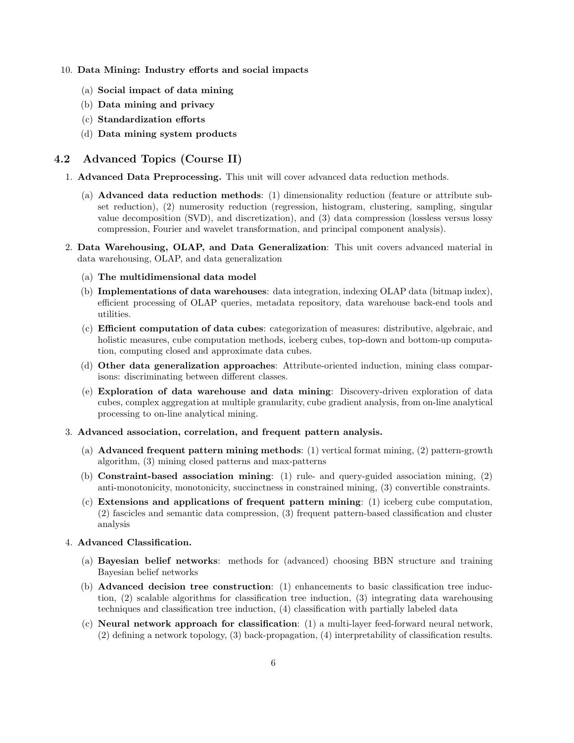#### 10. Data Mining: Industry efforts and social impacts

- (a) Social impact of data mining
- (b) Data mining and privacy
- (c) Standardization efforts
- (d) Data mining system products

### 4.2 Advanced Topics (Course II)

- 1. Advanced Data Preprocessing. This unit will cover advanced data reduction methods.
	- (a) Advanced data reduction methods: (1) dimensionality reduction (feature or attribute subset reduction), (2) numerosity reduction (regression, histogram, clustering, sampling, singular value decomposition (SVD), and discretization), and (3) data compression (lossless versus lossy compression, Fourier and wavelet transformation, and principal component analysis).
- 2. Data Warehousing, OLAP, and Data Generalization: This unit covers advanced material in data warehousing, OLAP, and data generalization
	- (a) The multidimensional data model
	- (b) Implementations of data warehouses: data integration, indexing OLAP data (bitmap index), efficient processing of OLAP queries, metadata repository, data warehouse back-end tools and utilities.
	- (c) Efficient computation of data cubes: categorization of measures: distributive, algebraic, and holistic measures, cube computation methods, iceberg cubes, top-down and bottom-up computation, computing closed and approximate data cubes.
	- (d) Other data generalization approaches: Attribute-oriented induction, mining class comparisons: discriminating between different classes.
	- (e) Exploration of data warehouse and data mining: Discovery-driven exploration of data cubes, complex aggregation at multiple granularity, cube gradient analysis, from on-line analytical processing to on-line analytical mining.

#### 3. Advanced association, correlation, and frequent pattern analysis.

- (a) Advanced frequent pattern mining methods: (1) vertical format mining, (2) pattern-growth algorithm, (3) mining closed patterns and max-patterns
- (b) Constraint-based association mining: (1) rule- and query-guided association mining, (2) anti-monotonicity, monotonicity, succinctness in constrained mining, (3) convertible constraints.
- (c) Extensions and applications of frequent pattern mining: (1) iceberg cube computation, (2) fascicles and semantic data compression, (3) frequent pattern-based classification and cluster analysis

### 4. Advanced Classification.

- (a) Bayesian belief networks: methods for (advanced) choosing BBN structure and training Bayesian belief networks
- (b) Advanced decision tree construction: (1) enhancements to basic classification tree induction, (2) scalable algorithms for classification tree induction, (3) integrating data warehousing techniques and classification tree induction, (4) classification with partially labeled data
- (c) Neural network approach for classification: (1) a multi-layer feed-forward neural network, (2) defining a network topology, (3) back-propagation, (4) interpretability of classification results.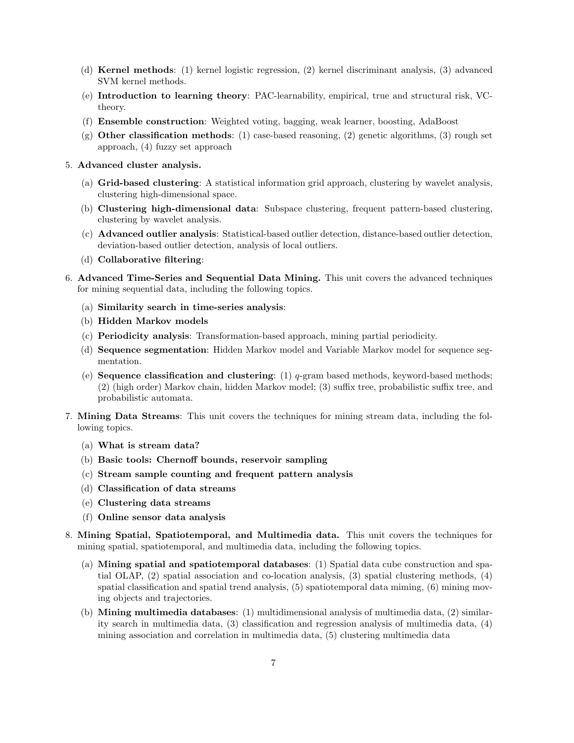- (d) Kernel methods: (1) kernel logistic regression, (2) kernel discriminant analysis, (3) advanced SVM kernel methods.
- (e) Introduction to learning theory: PAC-learnability, empirical, true and structural risk, VCtheory.
- (f) Ensemble construction: Weighted voting, bagging, weak learner, boosting, AdaBoost
- (g) Other classification methods: (1) case-based reasoning, (2) genetic algorithms, (3) rough set approach, (4) fuzzy set approach
- 5. Advanced cluster analysis.
	- (a) Grid-based clustering: A statistical information grid approach, clustering by wavelet analysis, clustering high-dimensional space.
	- (b) Clustering high-dimensional data: Subspace clustering, frequent pattern-based clustering, clustering by wavelet analysis.
	- (c) Advanced outlier analysis: Statistical-based outlier detection, distance-based outlier detection, deviation-based outlier detection, analysis of local outliers.
	- (d) Collaborative filtering:
- 6. Advanced Time-Series and Sequential Data Mining. This unit covers the advanced techniques for mining sequential data, including the following topics.
	- (a) Similarity search in time-series analysis:
	- (b) Hidden Markov models
	- (c) Periodicity analysis: Transformation-based approach, mining partial periodicity.
	- (d) Sequence segmentation: Hidden Markov model and Variable Markov model for sequence segmentation.
	- (e) **Sequence classification and clustering**: (1)  $q$ -gram based methods, keyword-based methods; (2) (high order) Markov chain, hidden Markov model; (3) suffix tree, probabilistic suffix tree, and probabilistic automata.
- 7. Mining Data Streams: This unit covers the techniques for mining stream data, including the following topics.
	- (a) What is stream data?
	- (b) Basic tools: Chernoff bounds, reservoir sampling
	- (c) Stream sample counting and frequent pattern analysis
	- (d) Classification of data streams
	- (e) Clustering data streams
	- (f) Online sensor data analysis
- 8. Mining Spatial, Spatiotemporal, and Multimedia data. This unit covers the techniques for mining spatial, spatiotemporal, and multimedia data, including the following topics.
	- (a) Mining spatial and spatiotemporal databases: (1) Spatial data cube construction and spatial OLAP, (2) spatial association and co-location analysis, (3) spatial clustering methods, (4) spatial classification and spatial trend analysis, (5) spatiotemporal data miming, (6) mining moving objects and trajectories.
	- (b) Mining multimedia databases: (1) multidimensional analysis of multimedia data, (2) similarity search in multimedia data, (3) classification and regression analysis of multimedia data, (4) mining association and correlation in multimedia data, (5) clustering multimedia data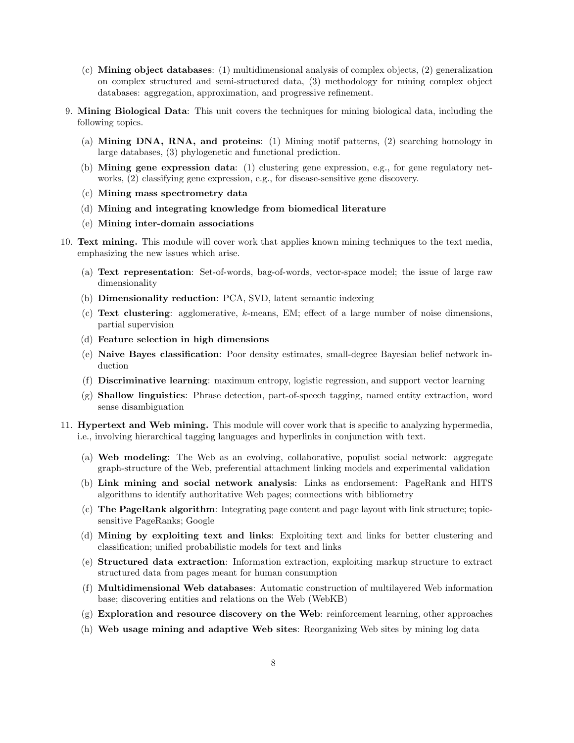- (c) Mining object databases: (1) multidimensional analysis of complex objects, (2) generalization on complex structured and semi-structured data, (3) methodology for mining complex object databases: aggregation, approximation, and progressive refinement.
- 9. Mining Biological Data: This unit covers the techniques for mining biological data, including the following topics.
	- (a) Mining DNA, RNA, and proteins: (1) Mining motif patterns, (2) searching homology in large databases, (3) phylogenetic and functional prediction.
	- (b) Mining gene expression data: (1) clustering gene expression, e.g., for gene regulatory networks, (2) classifying gene expression, e.g., for disease-sensitive gene discovery.
	- (c) Mining mass spectrometry data
	- (d) Mining and integrating knowledge from biomedical literature
	- (e) Mining inter-domain associations
- 10. Text mining. This module will cover work that applies known mining techniques to the text media, emphasizing the new issues which arise.
	- (a) Text representation: Set-of-words, bag-of-words, vector-space model; the issue of large raw dimensionality
	- (b) Dimensionality reduction: PCA, SVD, latent semantic indexing
	- (c) Text clustering: agglomerative, k-means, EM; effect of a large number of noise dimensions, partial supervision
	- (d) Feature selection in high dimensions
	- (e) Naive Bayes classification: Poor density estimates, small-degree Bayesian belief network induction
	- (f) Discriminative learning: maximum entropy, logistic regression, and support vector learning
	- (g) Shallow linguistics: Phrase detection, part-of-speech tagging, named entity extraction, word sense disambiguation
- 11. **Hypertext and Web mining.** This module will cover work that is specific to analyzing hypermedia, i.e., involving hierarchical tagging languages and hyperlinks in conjunction with text.
	- (a) Web modeling: The Web as an evolving, collaborative, populist social network: aggregate graph-structure of the Web, preferential attachment linking models and experimental validation
	- (b) Link mining and social network analysis: Links as endorsement: PageRank and HITS algorithms to identify authoritative Web pages; connections with bibliometry
	- (c) The PageRank algorithm: Integrating page content and page layout with link structure; topicsensitive PageRanks; Google
	- (d) Mining by exploiting text and links: Exploiting text and links for better clustering and classification; unified probabilistic models for text and links
	- (e) Structured data extraction: Information extraction, exploiting markup structure to extract structured data from pages meant for human consumption
	- (f) Multidimensional Web databases: Automatic construction of multilayered Web information base; discovering entities and relations on the Web (WebKB)
	- (g) Exploration and resource discovery on the Web: reinforcement learning, other approaches
	- (h) Web usage mining and adaptive Web sites: Reorganizing Web sites by mining log data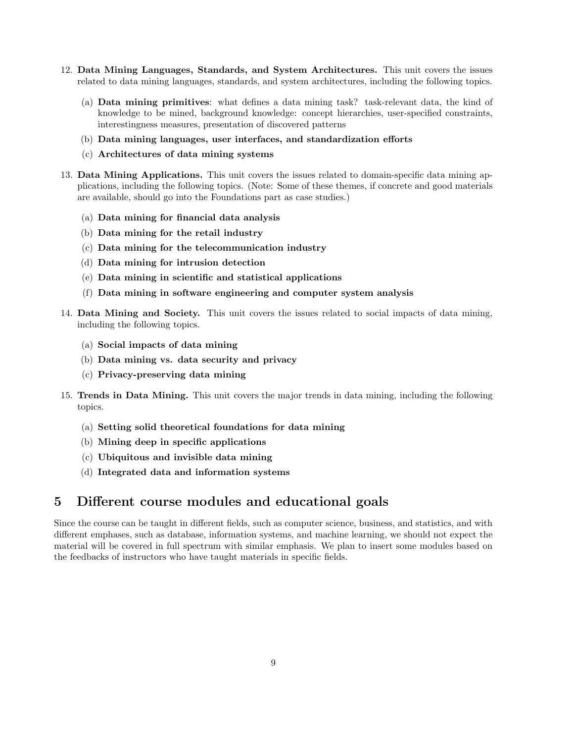- 12. Data Mining Languages, Standards, and System Architectures. This unit covers the issues related to data mining languages, standards, and system architectures, including the following topics.
	- (a) Data mining primitives: what defines a data mining task? task-relevant data, the kind of knowledge to be mined, background knowledge: concept hierarchies, user-specified constraints, interestingness measures, presentation of discovered patterns
	- (b) Data mining languages, user interfaces, and standardization efforts
	- (c) Architectures of data mining systems
- 13. Data Mining Applications. This unit covers the issues related to domain-specific data mining applications, including the following topics. (Note: Some of these themes, if concrete and good materials are available, should go into the Foundations part as case studies.)
	- (a) Data mining for financial data analysis
	- (b) Data mining for the retail industry
	- (c) Data mining for the telecommunication industry
	- (d) Data mining for intrusion detection
	- (e) Data mining in scientific and statistical applications
	- (f) Data mining in software engineering and computer system analysis
- 14. Data Mining and Society. This unit covers the issues related to social impacts of data mining, including the following topics.
	- (a) Social impacts of data mining
	- (b) Data mining vs. data security and privacy
	- (c) Privacy-preserving data mining
- 15. Trends in Data Mining. This unit covers the major trends in data mining, including the following topics.
	- (a) Setting solid theoretical foundations for data mining
	- (b) Mining deep in specific applications
	- (c) Ubiquitous and invisible data mining
	- (d) Integrated data and information systems

### 5 Different course modules and educational goals

Since the course can be taught in different fields, such as computer science, business, and statistics, and with different emphases, such as database, information systems, and machine learning, we should not expect the material will be covered in full spectrum with similar emphasis. We plan to insert some modules based on the feedbacks of instructors who have taught materials in specific fields.